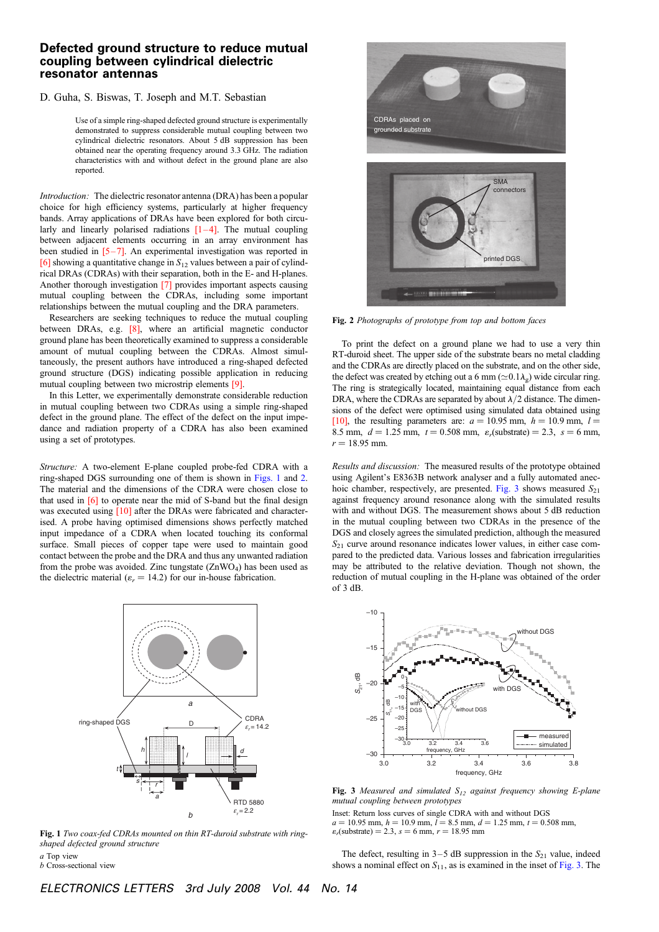## Defected ground structure to reduce mutual coupling between cylindrical dielectric resonator antennas

## D. Guha, S. Biswas, T. Joseph and M.T. Sebastian

Use of a simple ring-shaped defected ground structure is experimentally demonstrated to suppress considerable mutual coupling between two cylindrical dielectric resonators. About 5 dB suppression has been obtained near the operating frequency around 3.3 GHz. The radiation characteristics with and without defect in the ground plane are also reported.

Introduction: The dielectric resonator antenna (DRA) has been a popular choice for high efficiency systems, particularly at higher frequency bands. Array applications of DRAs have been explored for both circularly and linearly polarised radiations  $[1-4]$ . The mutual coupling between adjacent elements occurring in an array environment has been studied in  $[5-7]$ . An experimental investigation was reported in [6] showing a quantitative change in  $S_{12}$  values between a pair of cylindrical DRAs (CDRAs) with their separation, both in the E- and H-planes. Another thorough investigation [7] provides important aspects causing mutual coupling between the CDRAs, including some important relationships between the mutual coupling and the DRA parameters.

Researchers are seeking techniques to reduce the mutual coupling between DRAs, e.g. [8], where an artificial magnetic conductor ground plane has been theoretically examined to suppress a considerable amount of mutual coupling between the CDRAs. Almost simultaneously, the present authors have introduced a ring-shaped defected ground structure (DGS) indicating possible application in reducing mutual coupling between two microstrip elements [9].

In this Letter, we experimentally demonstrate considerable reduction in mutual coupling between two CDRAs using a simple ring-shaped defect in the ground plane. The effect of the defect on the input impedance and radiation property of a CDRA has also been examined using a set of prototypes.

Structure: A two-element E-plane coupled probe-fed CDRA with a ring-shaped DGS surrounding one of them is shown in Figs. 1 and 2. The material and the dimensions of the CDRA were chosen close to that used in [6] to operate near the mid of S-band but the final design was executed using [10] after the DRAs were fabricated and characterised. A probe having optimised dimensions shows perfectly matched input impedance of a CDRA when located touching its conformal surface. Small pieces of copper tape were used to maintain good contact between the probe and the DRA and thus any unwanted radiation from the probe was avoided. Zinc tungstate  $(ZnWO<sub>4</sub>)$  has been used as the dielectric material ( $\varepsilon_r = 14.2$ ) for our in-house fabrication.



Fig. 1 Two coax-fed CDRAs mounted on thin RT-duroid substrate with ringshaped defected ground structure

a Top view  $b$  Cross-sectional view CDRAs placed on grounded substrate **SMA** connectors printed DGS 33 MENTENTE

Fig. 2 Photographs of prototype from top and bottom faces

To print the defect on a ground plane we had to use a very thin RT-duroid sheet. The upper side of the substrate bears no metal cladding and the CDRAs are directly placed on the substrate, and on the other side, the defect was created by etching out a 6 mm ( $\simeq$  0.1 $\lambda$ <sub>g</sub>) wide circular ring. The ring is strategically located, maintaining equal distance from each DRA, where the CDRAs are separated by about  $\lambda/2$  distance. The dimensions of the defect were optimised using simulated data obtained using [10], the resulting parameters are:  $a = 10.95$  mm,  $h = 10.9$  mm,  $l =$ 8.5 mm,  $d = 1.25$  mm,  $t = 0.508$  mm,  $\varepsilon_r$ (substrate) = 2.3,  $s = 6$  mm,  $r = 18.95$  mm.

Results and discussion: The measured results of the prototype obtained using Agilent's E8363B network analyser and a fully automated anechoic chamber, respectively, are presented. Fig. 3 shows measured  $S_{21}$ against frequency around resonance along with the simulated results with and without DGS. The measurement shows about 5 dB reduction in the mutual coupling between two CDRAs in the presence of the DGS and closely agrees the simulated prediction, although the measured  $S_{21}$  curve around resonance indicates lower values, in either case compared to the predicted data. Various losses and fabrication irregularities may be attributed to the relative deviation. Though not shown, the reduction of mutual coupling in the H-plane was obtained of the order of 3 dB.



Fig. 3 Measured and simulated  $S_{12}$  against frequency showing E-plane mutual coupling between prototypes

Inset: Return loss curves of single CDRA with and without DGS  $a = 10.95$  mm,  $h = 10.9$  mm,  $l = 8.5$  mm,  $d = 1.25$  mm,  $t = 0.508$  mm,  $\varepsilon_r$ (substrate) = 2.3, s = 6 mm,  $r = 18.95$  mm

The defect, resulting in  $3-5$  dB suppression in the  $S_{21}$  value, indeed shows a nominal effect on  $S_{11}$ , as is examined in the inset of Fig. 3. The